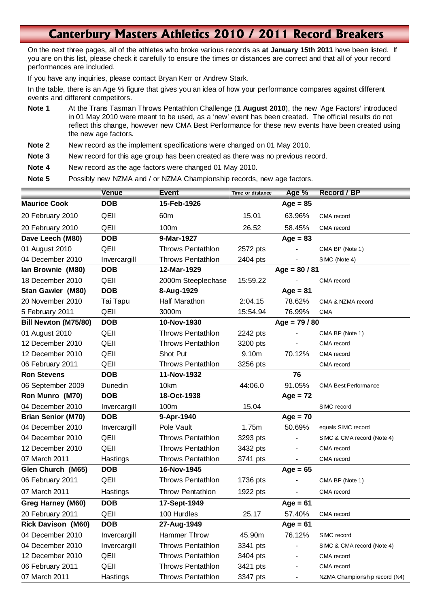## **Canterbury Masters Athletics 2010 / 2011 Record Breakers**

On the next three pages, all of the athletes who broke various records as **at January 15th 2011** have been listed. If you are on this list, please check it carefully to ensure the times or distances are correct and that all of your record performances are included.

If you have any inquiries, please contact Bryan Kerr or Andrew Stark.

In the table, there is an Age % figure that gives you an idea of how your performance compares against different events and different competitors.

- **Note 1** At the Trans Tasman Throws Pentathlon Challenge (**1 August 2010**), the new 'Age Factors' introduced in 01 May 2010 were meant to be used, as a 'new' event has been created. The official results do not reflect this change, however new CMA Best Performance for these new events have been created using the new age factors.
- **Note 2** New record as the implement specifications were changed on 01 May 2010.

**Note 3** New record for this age group has been created as there was no previous record.

**Note 4** New record as the age factors were changed 01 May 2010.

**Note 5** Possibly new NZMA and / or NZMA Championship records, new age factors.

|                           | <b>Venue</b> | <b>Event</b>             | Time or distance | Age %           | Record / BP                   |
|---------------------------|--------------|--------------------------|------------------|-----------------|-------------------------------|
| <b>Maurice Cook</b>       | <b>DOB</b>   | 15-Feb-1926              |                  | $Age = 85$      |                               |
| 20 February 2010          | QEII         | 60 <sub>m</sub>          | 15.01            | 63.96%          | CMA record                    |
| 20 February 2010          | QEII         | 100m                     | 26.52            | 58.45%          | CMA record                    |
| Dave Leech (M80)          | <b>DOB</b>   | 9-Mar-1927               |                  | $Age = 83$      |                               |
| 01 August 2010            | QEII         | <b>Throws Pentathlon</b> | 2572 pts         |                 | CMA BP (Note 1)               |
| 04 December 2010          | Invercargill | <b>Throws Pentathlon</b> | 2404 pts         |                 | SIMC (Note 4)                 |
| lan Brownie (M80)         | <b>DOB</b>   | 12-Mar-1929              |                  | $Age = 80 / 81$ |                               |
| 18 December 2010          | QEII         | 2000m Steeplechase       | 15:59.22         |                 | CMA record                    |
| Stan Gawler (M80)         | <b>DOB</b>   | 8-Aug-1929               |                  | $Age = 81$      |                               |
| 20 November 2010          | Tai Tapu     | Half Marathon            | 2:04.15          | 78.62%          | CMA & NZMA record             |
| 5 February 2011           | QEII         | 3000m                    | 15:54.94         | 76.99%          | <b>CMA</b>                    |
| Bill Newton (M75/80)      | <b>DOB</b>   | 10-Nov-1930              | $Age = 79/80$    |                 |                               |
| 01 August 2010            | QEII         | <b>Throws Pentathlon</b> | 2242 pts         |                 | CMA BP (Note 1)               |
| 12 December 2010          | QEII         | Throws Pentathlon        | 3200 pts         |                 | CMA record                    |
| 12 December 2010          | QEII         | Shot Put                 | 9.10m            | 70.12%          | CMA record                    |
| 06 February 2011          | QEII         | <b>Throws Pentathlon</b> | 3256 pts         |                 | CMA record                    |
| <b>Ron Stevens</b>        | <b>DOB</b>   | 11-Nov-1932              |                  | 76              |                               |
| 06 September 2009         | Dunedin      | 10km                     | 44:06.0          | 91.05%          | <b>CMA Best Performance</b>   |
| Ron Munro (M70)           | <b>DOB</b>   | 18-Oct-1938              |                  | $Age = 72$      |                               |
| 04 December 2010          | Invercargill | 100m                     | 15.04            |                 | SIMC record                   |
| <b>Brian Senior (M70)</b> | <b>DOB</b>   | 9-Apr-1940               |                  | $Age = 70$      |                               |
| 04 December 2010          | Invercargill | Pole Vault               | 1.75m            | 50.69%          | equals SIMC record            |
| 04 December 2010          | QEII         | <b>Throws Pentathlon</b> | 3293 pts         |                 | SIMC & CMA record (Note 4)    |
| 12 December 2010          | QEII         | <b>Throws Pentathlon</b> | 3432 pts         |                 | CMA record                    |
| 07 March 2011             | Hastings     | <b>Throws Pentathlon</b> | 3741 pts         |                 | CMA record                    |
| Glen Church (M65)         | <b>DOB</b>   | 16-Nov-1945              |                  | Age = $65$      |                               |
| 06 February 2011          | QEII         | <b>Throws Pentathlon</b> | 1736 pts         |                 | CMA BP (Note 1)               |
| 07 March 2011             | Hastings     | <b>Throw Pentathlon</b>  | 1922 pts         |                 | CMA record                    |
| Greg Harney (M60)         | <b>DOB</b>   | 17-Sept-1949             |                  | $Age = 61$      |                               |
| 20 February 2011          | QEII         | 100 Hurdles              | 25.17            | 57.40%          | CMA record                    |
| <b>Rick Davison (M60)</b> | <b>DOB</b>   | 27-Aug-1949              |                  | $Age = 61$      |                               |
| 04 December 2010          | Invercargill | Hammer Throw             | 45.90m           | 76.12%          | SIMC record                   |
| 04 December 2010          | Invercargill | <b>Throws Pentathlon</b> | 3341 pts         |                 | SIMC & CMA record (Note 4)    |
| 12 December 2010          | QEII         | <b>Throws Pentathlon</b> | 3404 pts         |                 | CMA record                    |
| 06 February 2011          | QEII         | <b>Throws Pentathlon</b> | 3421 pts         |                 | CMA record                    |
| 07 March 2011             | Hastings     | Throws Pentathlon        | 3347 pts         |                 | NZMA Championship record (N4) |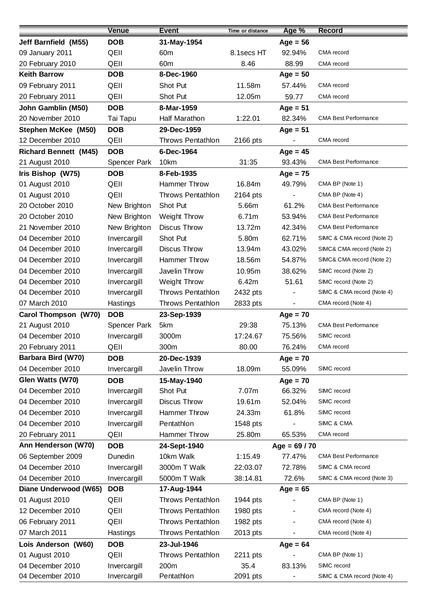|                              | <b>Venue</b>        | <b>Event</b>             | Time or distance | Age %                    | <b>Record</b>               |
|------------------------------|---------------------|--------------------------|------------------|--------------------------|-----------------------------|
| Jeff Barnfield (M55)         | <b>DOB</b>          | 31-May-1954              |                  | $Age = 56$               |                             |
| 09 January 2011              | QEII                | 60 <sub>m</sub>          | 8.1secs HT       | 92.94%                   | CMA record                  |
| 20 February 2010             | QEII                | 60 <sub>m</sub>          | 8.46             | 88.99                    | CMA record                  |
| <b>Keith Barrow</b>          | <b>DOB</b>          | 8-Dec-1960               |                  | $Age = 50$               |                             |
| 09 February 2011             | QEII                | Shot Put                 | 11.58m           | 57.44%                   | CMA record                  |
| 20 February 2011             | QEII                | Shot Put                 | 12.05m           | 59.77                    | CMA record                  |
| John Gamblin (M50)           | <b>DOB</b>          | 8-Mar-1959               |                  | $Age = 51$               |                             |
| 20 November 2010             | Tai Tapu            | <b>Half Marathon</b>     | 1:22.01          | 82.34%                   | <b>CMA Best Performance</b> |
| <b>Stephen McKee (M50)</b>   | <b>DOB</b>          | 29-Dec-1959              |                  | $Age = 51$               |                             |
| 12 December 2010             | QEII                | <b>Throws Pentathlon</b> | 2166 pts         |                          | CMA record                  |
| <b>Richard Bennett (M45)</b> | <b>DOB</b>          | 6-Dec-1964               |                  | $Age = 45$               |                             |
| 21 August 2010               | <b>Spencer Park</b> | 10km                     | 31:35            | 93.43%                   | <b>CMA Best Performance</b> |
| Iris Bishop (W75)            | <b>DOB</b>          | 8-Feb-1935               |                  | $Age = 75$               |                             |
| 01 August 2010               | QEII                | Hammer Throw             | 16.84m           | 49.79%                   | CMA BP (Note 1)             |
| 01 August 2010               | QEII                | <b>Throws Pentathlon</b> | 2164 pts         |                          | CMA BP (Note 4)             |
| 20 October 2010              | New Brighton        | Shot Put                 | 5.66m            | 61.2%                    | <b>CMA Best Performance</b> |
| 20 October 2010              | New Brighton        | <b>Weight Throw</b>      | 6.71m            | 53.94%                   | <b>CMA Best Performance</b> |
| 21 November 2010             | New Brighton        | <b>Discus Throw</b>      | 13.72m           | 42.34%                   | <b>CMA Best Performance</b> |
| 04 December 2010             | Invercargill        | Shot Put                 | 5.80m            | 62.71%                   | SIMC & CMA record (Note 2)  |
| 04 December 2010             | Invercargill        | <b>Discus Throw</b>      | 13.94m           | 43.02%                   | SIMC& CMA record (Note 2)   |
| 04 December 2010             | Invercargill        | Hammer Throw             | 18.56m           | 54.87%                   | SIMC& CMA record (Note 2)   |
| 04 December 2010             | Invercargill        | Javelin Throw            | 10.95m           | 38.62%                   | SIMC record (Note 2)        |
| 04 December 2010             | Invercargill        | Weight Throw             | 6.42m            | 51.61                    | SIMC record (Note 2)        |
| 04 December 2010             | Invercargill        | <b>Throws Pentathlon</b> | 2432 pts         |                          | SIMC & CMA record (Note 4)  |
| 07 March 2010                | Hastings            | <b>Throws Pentathlon</b> | 2833 pts         | $\blacksquare$           | CMA record (Note 4)         |
| <b>Carol Thompson (W70)</b>  | <b>DOB</b>          | 23-Sep-1939              |                  | $Age = 70$               |                             |
| 21 August 2010               | Spencer Park        | 5km                      | 29:38            | 75.13%                   | <b>CMA Best Performance</b> |
| 04 December 2010             | Invercargill        | 3000m                    | 17:24.67         | 75.56%                   | SIMC record                 |
| 20 February 2011             | QEII                | 300m                     | 80.00            | 76.24%                   | CMA record                  |
| Barbara Bird (W70)           | <b>DOB</b>          | 20-Dec-1939              |                  | $Age = 70$               |                             |
| 04 December 2010             | Invercargill        | Javelin Throw            | 18.09m           | 55.09%                   | SIMC record                 |
| Glen Watts (W70)             | <b>DOB</b>          | 15-May-1940              |                  | $Age = 70$               |                             |
| 04 December 2010             | Invercargill        | Shot Put                 | 7.07m            | 66.32%                   | SIMC record                 |
| 04 December 2010             | Invercargill        | <b>Discus Throw</b>      | 19.61m           | 52.04%                   | SIMC record                 |
| 04 December 2010             | Invercargill        | Hammer Throw             | 24.33m           | 61.8%                    | SIMC record                 |
| 04 December 2010             | Invercargill        | Pentathlon               | 1548 pts         |                          | SIMC & CMA                  |
| 20 February 2011             | QEII                | Hammer Throw             | 25.80m           | 65.53%                   | CMA record                  |
| Ann Henderson (W70)          | <b>DOB</b>          | 24-Sept-1940             |                  | Age = $69/70$            |                             |
| 06 September 2009            | Dunedin             | 10km Walk                | 1:15.49          | 77.47%                   | <b>CMA Best Performance</b> |
| 04 December 2010             | Invercargill        | 3000m T Walk             | 22:03.07         | 72.78%                   | SIMC & CMA record           |
| 04 December 2010             | Invercargill        | 5000m T Walk             | 38:14.81         | 72.6%                    | SIMC & CMA record (Note 3)  |
| Diane Underwood (W65)        | <b>DOB</b>          | 17-Aug-1944              |                  | $Age = 65$               |                             |
| 01 August 2010               | QEII                | <b>Throws Pentathlon</b> | 1944 pts         |                          | CMA BP (Note 1)             |
| 12 December 2010             | QEII                | <b>Throws Pentathlon</b> | 1980 pts         |                          | CMA record (Note 4)         |
| 06 February 2011             | QEII                | Throws Pentathlon        | 1982 pts         |                          | CMA record (Note 4)         |
| 07 March 2011                | Hastings            | <b>Throws Pentathlon</b> | 2013 pts         | $\overline{\phantom{0}}$ | CMA record (Note 4)         |
| Lois Anderson (W60)          | <b>DOB</b>          | 23-Jul-1946              |                  | $Age = 64$               |                             |
| 01 August 2010               | QEII                | <b>Throws Pentathlon</b> | 2211 pts         |                          | CMA BP (Note 1)             |
| 04 December 2010             | Invercargill        | 200m                     | 35.4             | 83.13%                   | SIMC record                 |
| 04 December 2010             | Invercargill        | Pentathlon               | 2091 pts         |                          | SIMC & CMA record (Note 4)  |